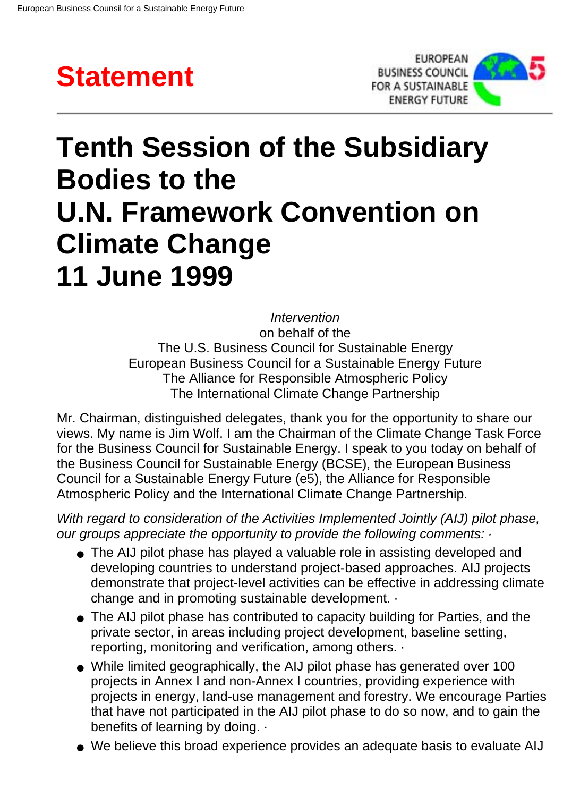



## **Tenth Session of the Subsidiary Bodies to the U.N. Framework Convention on Climate Change 11 June 1999**

*Intervention* on behalf of the The U.S. Business Council for Sustainable Energy European Business Council for a Sustainable Energy Future The Alliance for Responsible Atmospheric Policy The International Climate Change Partnership

Mr. Chairman, distinguished delegates, thank you for the opportunity to share our views. My name is Jim Wolf. I am the Chairman of the Climate Change Task Force for the Business Council for Sustainable Energy. I speak to you today on behalf of the Business Council for Sustainable Energy (BCSE), the European Business Council for a Sustainable Energy Future (e5), the Alliance for Responsible Atmospheric Policy and the International Climate Change Partnership.

*With regard to consideration of the Activities Implemented Jointly (AIJ) pilot phase, our groups appreciate the opportunity to provide the following comments: ·*

- The AIJ pilot phase has played a valuable role in assisting developed and developing countries to understand project-based approaches. AIJ projects demonstrate that project-level activities can be effective in addressing climate change and in promoting sustainable development. ·
- The AIJ pilot phase has contributed to capacity building for Parties, and the private sector, in areas including project development, baseline setting, reporting, monitoring and verification, among others. ·
- While limited geographically, the AIJ pilot phase has generated over 100 projects in Annex I and non-Annex I countries, providing experience with projects in energy, land-use management and forestry. We encourage Parties that have not participated in the AIJ pilot phase to do so now, and to gain the benefits of learning by doing. ·
- We believe this broad experience provides an adequate basis to evaluate AIJ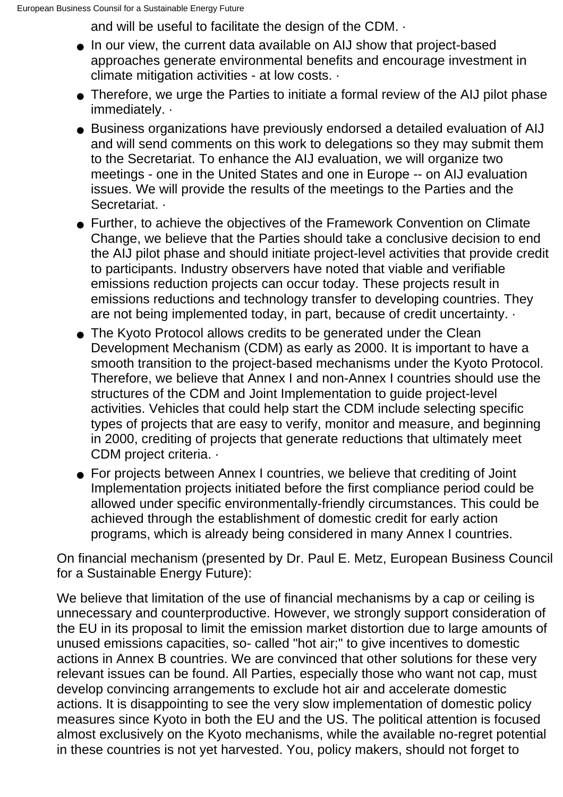and will be useful to facilitate the design of the CDM. ·

- In our view, the current data available on AIJ show that project-based approaches generate environmental benefits and encourage investment in climate mitigation activities - at low costs. ·
- Therefore, we urge the Parties to initiate a formal review of the AIJ pilot phase immediately. ·
- Business organizations have previously endorsed a detailed evaluation of AIJ and will send comments on this work to delegations so they may submit them to the Secretariat. To enhance the AIJ evaluation, we will organize two meetings - one in the United States and one in Europe -- on AIJ evaluation issues. We will provide the results of the meetings to the Parties and the Secretariat.
- Further, to achieve the objectives of the Framework Convention on Climate Change, we believe that the Parties should take a conclusive decision to end the AIJ pilot phase and should initiate project-level activities that provide credit to participants. Industry observers have noted that viable and verifiable emissions reduction projects can occur today. These projects result in emissions reductions and technology transfer to developing countries. They are not being implemented today, in part, because of credit uncertainty. ·
- The Kyoto Protocol allows credits to be generated under the Clean Development Mechanism (CDM) as early as 2000. It is important to have a smooth transition to the project-based mechanisms under the Kyoto Protocol. Therefore, we believe that Annex I and non-Annex I countries should use the structures of the CDM and Joint Implementation to guide project-level activities. Vehicles that could help start the CDM include selecting specific types of projects that are easy to verify, monitor and measure, and beginning in 2000, crediting of projects that generate reductions that ultimately meet CDM project criteria. ·
- For projects between Annex I countries, we believe that crediting of Joint Implementation projects initiated before the first compliance period could be allowed under specific environmentally-friendly circumstances. This could be achieved through the establishment of domestic credit for early action programs, which is already being considered in many Annex I countries.

On financial mechanism (presented by Dr. Paul E. Metz, European Business Council for a Sustainable Energy Future):

We believe that limitation of the use of financial mechanisms by a cap or ceiling is unnecessary and counterproductive. However, we strongly support consideration of the EU in its proposal to limit the emission market distortion due to large amounts of unused emissions capacities, so- called "hot air;" to give incentives to domestic actions in Annex B countries. We are convinced that other solutions for these very relevant issues can be found. All Parties, especially those who want not cap, must develop convincing arrangements to exclude hot air and accelerate domestic actions. It is disappointing to see the very slow implementation of domestic policy measures since Kyoto in both the EU and the US. The political attention is focused almost exclusively on the Kyoto mechanisms, while the available no-regret potential in these countries is not yet harvested. You, policy makers, should not forget to